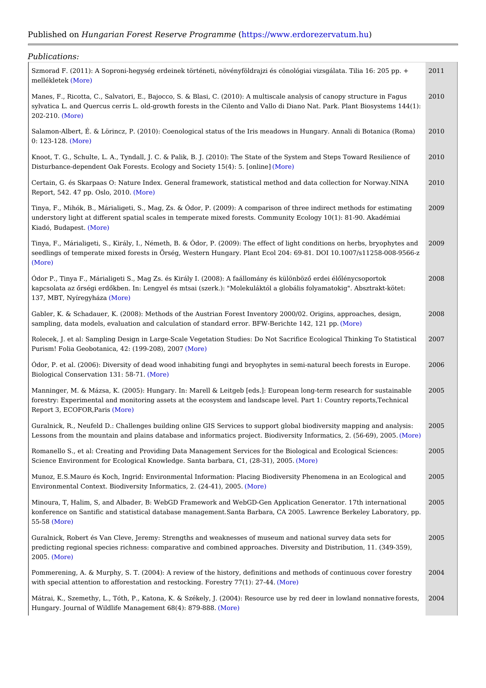## Published Houm garian Forest Reserve Pr (or to the mom www.erdorezervatum.hu

| Publications:                                                                                                                                                                                                     |                                  |
|-------------------------------------------------------------------------------------------------------------------------------------------------------------------------------------------------------------------|----------------------------------|
| Szmorad F. (2011): A Soproni-hegység erdeinek történeti, növényföldrajzi és cönológiai 2011<br>melléklet(eMkore)                                                                                                  | ∥ata. T                          |
| Manes, F., Ricotta, C., Salvatori, E., Bajocco, S. & Blasi, C. (2010): A multiscale analy 2010<br>sylvatica L. and Quercus cerris L. old-growth forests in the Cilento and Vallo di Diano  <br>$202 - 210$ More)  | $\frac{1}{2}$ anopy<br>$rk.$ Pla |
| Salamon-Albert, É. & Lörincz, P. (2010): Coenological status of the Iris meadows in Hui 2010 Annali<br>$0: 123 - 12$ More)                                                                                        |                                  |
| Knoot, T. G., Schulte, L. A., Tyndall, J. C. & Palik, B. J. (2010): The State of the Syste 2010 Steps<br>Disturbance-dependent Oak Forests. Ecology and Soci(eMyre5(4): 5. [online]                               |                                  |
| Certain, G. és Skarpaas O: Nature Index. General framework, statistical method and da 2010<br>Report, 542. 47 pp. Os(M, 020)10.                                                                                   | $ {\sf ction} $                  |
| Tinya, F., Mihók, B., Márialigeti, S., Mag, Zs. & Ódor, P. (2009): A comparison of three 2009<br>understory light at different spatial scales in temperate mixed forests. Community Ecole<br>Kiadó, Budap(&/sdre) | t meth<br>$ 1)$ : 81-            |
| Tinya, F., Márialigeti, S., Király, I., Németh, B. & Ódor, P. (2009): The effect of light c 2009<br>seedlings of temperate mixed forests in Prség, Western Hungary. Plant Ecol 204: 69-81<br>(More)               | $\ln s$ on<br>0.1007             |
| Ódor P., Tinya F., Márialigeti S., Mag Zs. és Király I. (2008): A faállomány és különböz 2008<br>kapcsolata az Qrségi erdQkben. In: Lengyel és mtsai (szerk.): "Molekuláktól a globális<br>137, MBT, NyíregýMáza) | élQlé<br>tokig"                  |
| Gabler, K. & Schadauer, K. (2008): Methods of the Austrian Forest Inventory 2000/02. C 2008<br>sampling, data models, evaluation and calculation of standard error. (BMFoWe Berichte 142,                         | appro                            |
| Rolecek, J. et al: Sampling Design in Large-Scale Vegetation Studies: Do Not Sacrifice 2007<br>Purism! Folia Geobotanica, 42: (19(94-21088)), 2007                                                                | lical Th                         |
| Ódor, P. et al. (2006): Diversity of dead wood inhabiting fungi and bryophytes in semi-r 2006<br>Biological Conservation 13 Mo 568)-71.                                                                           | beech                            |
| Manninger, M. & Mázsa, K. (2005): Hungary. In: Marell & Leitgeb [eds.]: European long - 2005<br>forestry: Experimental and monitoring assets at the ecosystem and landscape level. Par<br>Report 3, ECOFOR(Mares) | ∣search<br>untry                 |
| Guralnick, R., Neufeld D.: Challenges building online GIS Services to support global bi 2005<br>Lessons from the mountain and plains database and informatics project. Biodivers (Nyolre                          | ity map<br>$\frac{1}{2}$ s, 2.   |
| Romanello S., et al: Creating and Providing Data Management Services for the Biologic 2005<br>Science Environment for Ecological Knowledge. Santa barba Maor C)1, (28-31), 2005.                                  | $E$ colog                        |
| Munoz, E.S.Mauro és Koch, Ingrid: Environmental Information: Placing Biodiversity Phe 2005<br>Environmental Context. Biodiversity Informatics(M2are24-41), 2005.                                                  | in an                            |
| Minoura, T, Halim, S, and Albader, B: WebGD Framework and WebGD-Gen Application G 2005<br>konference on Santific and statistical database management. Santa Barbara, CA 2005. L<br>$55 - 58$ More)                | ∣r. 17th<br>Berke                |
| Guralnick, Robert és Van Cleve, Jeremy: Strengths and weaknesses of museum and nati 2005<br>predicting regional species richness: comparative and combined approaches. Diversity and<br>2005(More)                | rvey d<br>tributi                |
| Pommerening, A. & Murphy, S. T. (2004): A review of the history, definitions and metho 2004 pntinud<br>with special attention to afforestation and restocking. Flowestry 77(1): 27-44.                            |                                  |
| Mátrai, K., Szemethy, L., Tóth, P., Katona, K. & Székely, J. (2004): Resource usefobryes te 2004<br>Hungary. Journal of Wildlife Management $6\%$ (4) $\frac{1}{2}$ 879-888.                                      | in lowl                          |
|                                                                                                                                                                                                                   |                                  |